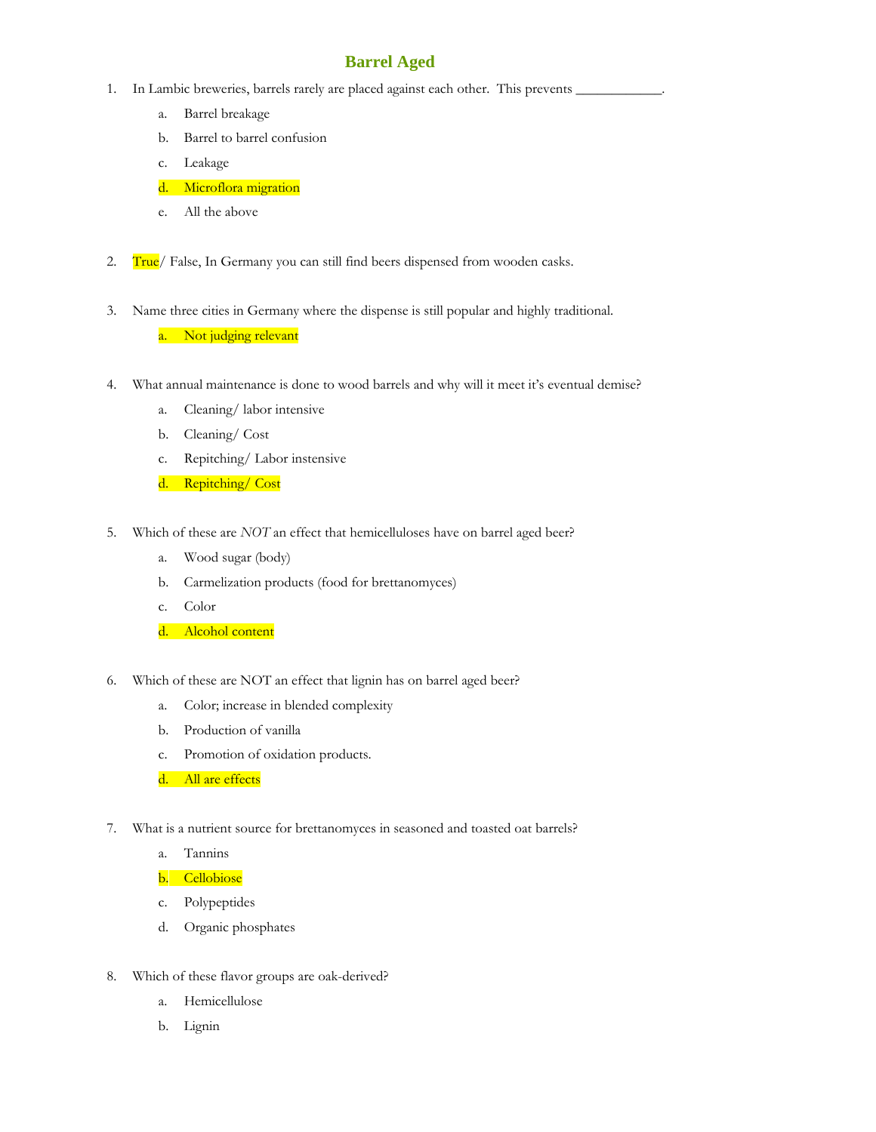## **Barrel Aged**

- 1. In Lambic breweries, barrels rarely are placed against each other. This prevents
	- a. Barrel breakage
	- b. Barrel to barrel confusion
	- c. Leakage
	- d. Microflora migration
	- e. All the above
- 2. True/ False, In Germany you can still find beers dispensed from wooden casks.
- 3. Name three cities in Germany where the dispense is still popular and highly traditional.
	- a. Not judging relevant
- 4. What annual maintenance is done to wood barrels and why will it meet it's eventual demise?
	- a. Cleaning/ labor intensive
	- b. Cleaning/ Cost
	- c. Repitching/ Labor instensive
	- d. Repitching/ Cost
- 5. Which of these are *NOT* an effect that hemicelluloses have on barrel aged beer?
	- a. Wood sugar (body)
	- b. Carmelization products (food for brettanomyces)
	- c. Color
	- d. Alcohol content
- 6. Which of these are NOT an effect that lignin has on barrel aged beer?
	- a. Color; increase in blended complexity
	- b. Production of vanilla
	- c. Promotion of oxidation products.
	- d. All are effects
- 7. What is a nutrient source for brettanomyces in seasoned and toasted oat barrels?
	- a. Tannins
	- b. Cellobiose
	- c. Polypeptides
	- d. Organic phosphates
- 8. Which of these flavor groups are oak-derived?
	- a. Hemicellulose
	- b. Lignin